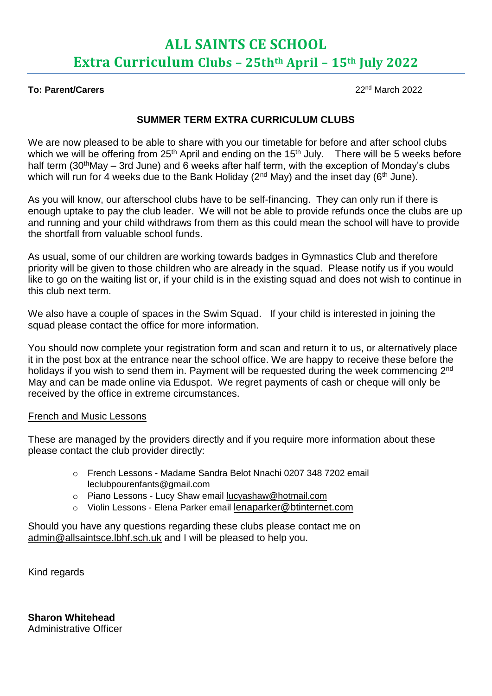## **ALL SAINTS CE SCHOOL Extra Curriculum Clubs – 25thth April – 15th July 2022**

#### **To: Parent/Carers** 22nd March 2022

### **SUMMER TERM EXTRA CURRICULUM CLUBS**

We are now pleased to be able to share with you our timetable for before and after school clubs which we will be offering from 25<sup>th</sup> April and ending on the 15<sup>th</sup> July. There will be 5 weeks before half term (30<sup>th</sup>May – 3rd June) and 6 weeks after half term, with the exception of Monday's clubs which will run for 4 weeks due to the Bank Holiday ( $2<sup>nd</sup>$  May) and the inset day ( $6<sup>th</sup>$  June).

As you will know, our afterschool clubs have to be self-financing. They can only run if there is enough uptake to pay the club leader. We will not be able to provide refunds once the clubs are up and running and your child withdraws from them as this could mean the school will have to provide the shortfall from valuable school funds.

As usual, some of our children are working towards badges in Gymnastics Club and therefore priority will be given to those children who are already in the squad. Please notify us if you would like to go on the waiting list or, if your child is in the existing squad and does not wish to continue in this club next term.

We also have a couple of spaces in the Swim Squad. If your child is interested in joining the squad please contact the office for more information.

You should now complete your registration form and scan and return it to us, or alternatively place it in the post box at the entrance near the school office. We are happy to receive these before the holidays if you wish to send them in. Payment will be requested during the week commencing 2<sup>nd</sup> May and can be made online via Eduspot. We regret payments of cash or cheque will only be received by the office in extreme circumstances.

#### French and Music Lessons

These are managed by the providers directly and if you require more information about these please contact the club provider directly:

- o French Lessons Madame Sandra Belot Nnachi 0207 348 7202 email leclubpourenfants@gmail.com
- o Piano Lessons Lucy Shaw email [lucyashaw@hotmail.com](mailto:lucyashaw@hotmail.com)
- o Violin Lessons Elena Parker email [lenaparker@btinternet.com](mailto:lenaparker@btinternet.com)

Should you have any questions regarding these clubs please contact me on [admin@allsaintsce.lbhf.sch.uk](mailto:admin@allsaintsce.lbhf.sch.uk) and I will be pleased to help you.

Kind regards

**Sharon Whitehead** Administrative Officer